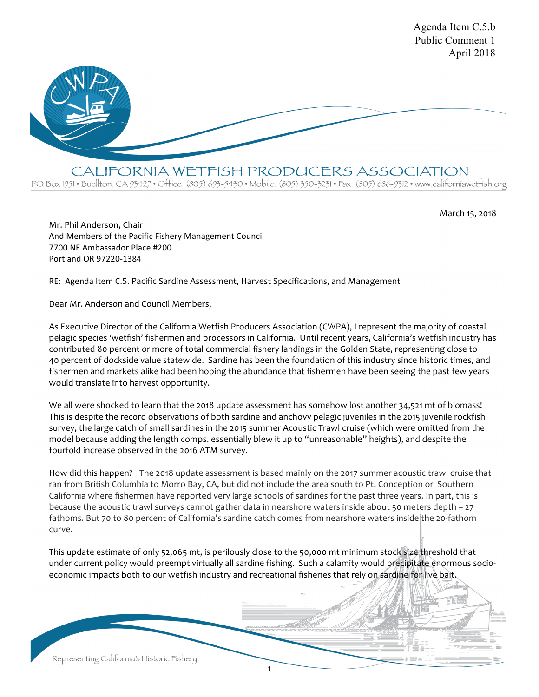

CALIFORNIA WETFISH PRODUCERS ASSOCIATION

PO Box 1951 • Buellton, CA 93427 • Office: (805) 693-5430 • Mobile: (805) 350-3231 • Fax: (805) 686-9312 • www.californiawetfish.org

March 15, 2018

Agenda Item C.5.b

Mr. Phil Anderson, Chair And Members of the Pacific Fishery Management Council 7700 NE Ambassador Place #200 Portland OR 97220-1384

RE: Agenda Item C.5. Pacific Sardine Assessment, Harvest Specifications, and Management

Dear Mr. Anderson and Council Members,

As Executive Director of the California Wetfish Producers Association (CWPA), I represent the majority of coastal pelagic species 'wetfish' fishermen and processors in California. Until recent years, California's wetfish industry has contributed 80 percent or more of total commercial fishery landings in the Golden State, representing close to 40 percent of dockside value statewide. Sardine has been the foundation of this industry since historic times, and fishermen and markets alike had been hoping the abundance that fishermen have been seeing the past few years would translate into harvest opportunity.

We all were shocked to learn that the 2018 update assessment has somehow lost another 34,521 mt of biomass! This is despite the record observations of both sardine and anchovy pelagic juveniles in the 2015 juvenile rockfish survey, the large catch of small sardines in the 2015 summer Acoustic Trawl cruise (which were omitted from the model because adding the length comps. essentially blew it up to "unreasonable" heights), and despite the fourfold increase observed in the 2016 ATM survey.

How did this happen? The 2018 update assessment is based mainly on the 2017 summer acoustic trawl cruise that ran from British Columbia to Morro Bay, CA, but did not include the area south to Pt. Conception or Southern California where fishermen have reported very large schools of sardines for the past three years. In part, this is because the acoustic trawl surveys cannot gather data in nearshore waters inside about 50 meters depth – 27 fathoms. But 70 to 80 percent of California's sardine catch comes from nearshore waters inside the 20-fathom curve.

This update estimate of only 52,065 mt, is perilously close to the 50,000 mt minimum stock size threshold that under current policy would preempt virtually all sardine fishing. Such a calamity would precipitate enormous socioeconomic impacts both to our wetfish industry and recreational fisheries that rely on sardine for live bait.

1

Representing California's Historic Fishery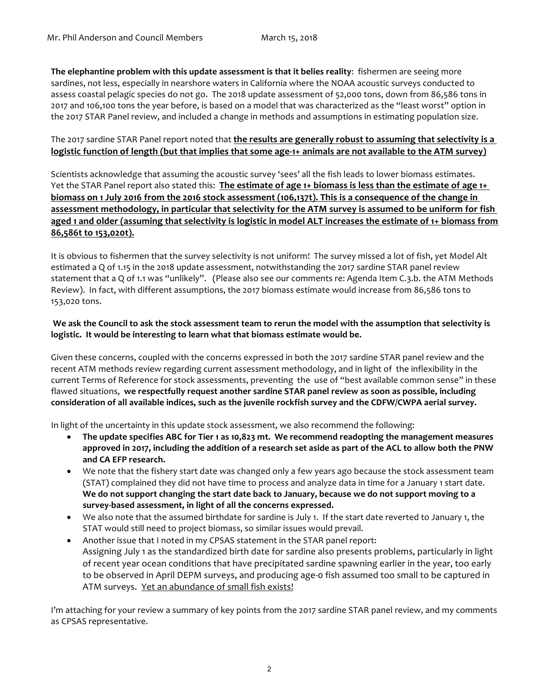**The elephantine problem with this update assessment is that it belies reality**: fishermen are seeing more sardines, not less, especially in nearshore waters in California where the NOAA acoustic surveys conducted to assess coastal pelagic species do not go. The 2018 update assessment of 52,000 tons, down from 86,586 tons in 2017 and 106,100 tons the year before, is based on a model that was characterized as the "least worst" option in the 2017 STAR Panel review, and included a change in methods and assumptions in estimating population size.

# The 2017 sardine STAR Panel report noted that **the results are generally robust to assuming that selectivity is a logistic function of length (but that implies that some age-1+ animals are not available to the ATM survey)**

Scientists acknowledge that assuming the acoustic survey 'sees' all the fish leads to lower biomass estimates. Yet the STAR Panel report also stated this: **The estimate of age 1+ biomass is less than the estimate of age 1+ biomass on 1 July 2016 from the 2016 stock assessment (106,137t). This is a consequence of the change in assessment methodology, in particular that selectivity for the ATM survey is assumed to be uniform for fish aged 1 and older (assuming that selectivity is logistic in model ALT increases the estimate of 1+ biomass from 86,586t to 153,020t).**

It is obvious to fishermen that the survey selectivity is not uniform! The survey missed a lot of fish, yet Model Alt estimated a Q of 1.15 in the 2018 update assessment, notwithstanding the 2017 sardine STAR panel review statement that a Q of 1.1 was "unlikely". (Please also see our comments re: Agenda Item C.3.b. the ATM Methods Review). In fact, with different assumptions, the 2017 biomass estimate would increase from 86,586 tons to 153,020 tons.

# **We ask the Council to ask the stock assessment team to rerun the model with the assumption that selectivity is logistic. It would be interesting to learn what that biomass estimate would be.**

Given these concerns, coupled with the concerns expressed in both the 2017 sardine STAR panel review and the recent ATM methods review regarding current assessment methodology, and in light of the inflexibility in the current Terms of Reference for stock assessments, preventing the use of "best available common sense" in these flawed situations, **we respectfully request another sardine STAR panel review as soon as possible, including consideration of all available indices, such as the juvenile rockfish survey and the CDFW/CWPA aerial survey.**

In light of the uncertainty in this update stock assessment, we also recommend the following:

- **The update specifies ABC for Tier 1 as 10,823 mt. We recommend readopting the management measures approved in 2017, including the addition of a research set aside as part of the ACL to allow both the PNW and CA EFP research.**
- We note that the fishery start date was changed only a few years ago because the stock assessment team (STAT) complained they did not have time to process and analyze data in time for a January 1 start date. **We do not support changing the start date back to January, because we do not support moving to a survey-based assessment, in light of all the concerns expressed.**
- We also note that the assumed birthdate for sardine is July 1. If the start date reverted to January 1, the STAT would still need to project biomass, so similar issues would prevail.
- Another issue that I noted in my CPSAS statement in the STAR panel report: Assigning July 1 as the standardized birth date for sardine also presents problems, particularly in light of recent year ocean conditions that have precipitated sardine spawning earlier in the year, too early to be observed in April DEPM surveys, and producing age-0 fish assumed too small to be captured in ATM surveys. Yet an abundance of small fish exists!

I'm attaching for your review a summary of key points from the 2017 sardine STAR panel review, and my comments as CPSAS representative.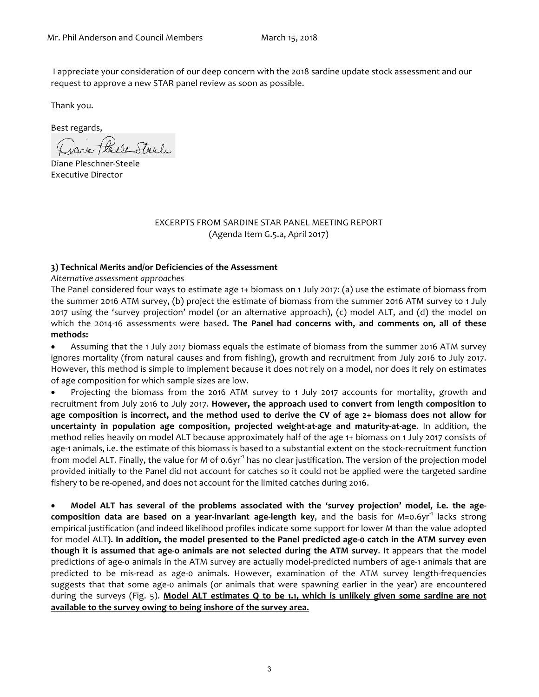I appreciate your consideration of our deep concern with the 2018 sardine update stock assessment and our request to approve a new STAR panel review as soon as possible.

Thank you.

Best regards,

Dane Plexe Steel

Diane Pleschner-Steele Executive Director

#### EXCERPTS FROM SARDINE STAR PANEL MEETING REPORT (Agenda Item G.5.a, April 2017)

#### **3) Technical Merits and/or Deficiencies of the Assessment**

#### *Alternative assessment approaches*

The Panel considered four ways to estimate age 1+ biomass on 1 July 2017: (a) use the estimate of biomass from the summer 2016 ATM survey, (b) project the estimate of biomass from the summer 2016 ATM survey to 1 July 2017 using the 'survey projection' model (or an alternative approach), (c) model ALT, and (d) the model on which the 2014-16 assessments were based. **The Panel had concerns with, and comments on, all of these methods:**

• Assuming that the 1 July 2017 biomass equals the estimate of biomass from the summer 2016 ATM survey ignores mortality (from natural causes and from fishing), growth and recruitment from July 2016 to July 2017. However, this method is simple to implement because it does not rely on a model, nor does it rely on estimates of age composition for which sample sizes are low.

• Projecting the biomass from the 2016 ATM survey to 1 July 2017 accounts for mortality, growth and recruitment from July 2016 to July 2017. **However, the approach used to convert from length composition to age composition is incorrect, and the method used to derive the CV of age 2+ biomass does not allow for uncertainty in population age composition, projected weight-at-age and maturity-at-age**. In addition, the method relies heavily on model ALT because approximately half of the age 1+ biomass on 1 July 2017 consists of age-1 animals, i.e. the estimate of this biomass is based to a substantial extent on the stock-recruitment function from model ALT. Finally, the value for *M* of 0.6yr<sup>-1</sup> has no clear justification. The version of the projection model provided initially to the Panel did not account for catches so it could not be applied were the targeted sardine fishery to be re-opened, and does not account for the limited catches during 2016.

• **Model ALT has several of the problems associated with the 'survey projection' model, i.e. the agecomposition data are based on a year-invariant age-length key, and the basis for** *M***=0.6yr<sup>-1</sup> lacks strong** empirical justification (and indeed likelihood profiles indicate some support for lower *M* than the value adopted for model ALT**). In addition, the model presented to the Panel predicted age-0 catch in the ATM survey even though it is assumed that age-0 animals are not selected during the ATM survey**. It appears that the model predictions of age-0 animals in the ATM survey are actually model-predicted numbers of age-1 animals that are predicted to be mis-read as age-0 animals. However, examination of the ATM survey length-frequencies suggests that that some age-0 animals (or animals that were spawning earlier in the year) are encountered during the surveys (Fig. 5). **Model ALT estimates Q to be 1.1, which is unlikely given some sardine are not available to the survey owing to being inshore of the survey area.**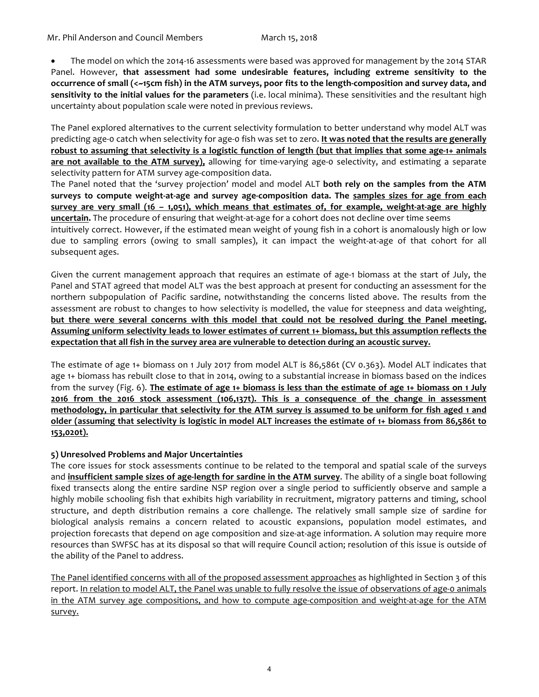• The model on which the 2014-16 assessments were based was approved for management by the 2014 STAR Panel. However, **that assessment had some undesirable features, including extreme sensitivity to the occurrence of small (<~15cm fish) in the ATM surveys, poor fits to the length-composition and survey data, and sensitivity to the initial values for the parameters** (i.e. local minima). These sensitivities and the resultant high uncertainty about population scale were noted in previous reviews.

The Panel explored alternatives to the current selectivity formulation to better understand why model ALT was predicting age-0 catch when selectivity for age-0 fish was set to zero. **It was noted that the results are generally robust to assuming that selectivity is a logistic function of length (but that implies that some age-1+ animals are not available to the ATM survey),** allowing for time-varying age-0 selectivity, and estimating a separate selectivity pattern for ATM survey age-composition data.

The Panel noted that the 'survey projection' model and model ALT **both rely on the samples from the ATM surveys to compute weight-at-age and survey age-composition data. The samples sizes for age from each survey are very small (16 – 1,051), which means that estimates of, for example, weight-at-age are highly uncertain.** The procedure of ensuring that weight-at-age for a cohort does not decline over time seems

intuitively correct. However, if the estimated mean weight of young fish in a cohort is anomalously high or low due to sampling errors (owing to small samples), it can impact the weight-at-age of that cohort for all subsequent ages.

Given the current management approach that requires an estimate of age-1 biomass at the start of July, the Panel and STAT agreed that model ALT was the best approach at present for conducting an assessment for the northern subpopulation of Pacific sardine, notwithstanding the concerns listed above. The results from the assessment are robust to changes to how selectivity is modelled, the value for steepness and data weighting, **but there were several concerns with this model that could not be resolved during the Panel meeting. Assuming uniform selectivity leads to lower estimates of current 1+ biomass, but this assumption reflects the expectation that all fish in the survey area are vulnerable to detection during an acoustic survey.**

The estimate of age 1+ biomass on 1 July 2017 from model ALT is 86,586t (CV 0.363). Model ALT indicates that age 1+ biomass has rebuilt close to that in 2014, owing to a substantial increase in biomass based on the indices from the survey (Fig. 6). **The estimate of age 1+ biomass is less than the estimate of age 1+ biomass on 1 July 2016 from the 2016 stock assessment (106,137t). This is a consequence of the change in assessment methodology, in particular that selectivity for the ATM survey is assumed to be uniform for fish aged 1 and older (assuming that selectivity is logistic in model ALT increases the estimate of 1+ biomass from 86,586t to 153,020t).**

### **5) Unresolved Problems and Major Uncertainties**

The core issues for stock assessments continue to be related to the temporal and spatial scale of the surveys and **insufficient sample sizes of age-length for sardine in the ATM survey**. The ability of a single boat following fixed transects along the entire sardine NSP region over a single period to sufficiently observe and sample a highly mobile schooling fish that exhibits high variability in recruitment, migratory patterns and timing, school structure, and depth distribution remains a core challenge. The relatively small sample size of sardine for biological analysis remains a concern related to acoustic expansions, population model estimates, and projection forecasts that depend on age composition and size-at-age information. A solution may require more resources than SWFSC has at its disposal so that will require Council action; resolution of this issue is outside of the ability of the Panel to address.

The Panel identified concerns with all of the proposed assessment approaches as highlighted in Section 3 of this report. In relation to model ALT, the Panel was unable to fully resolve the issue of observations of age-0 animals in the ATM survey age compositions, and how to compute age-composition and weight-at-age for the ATM survey.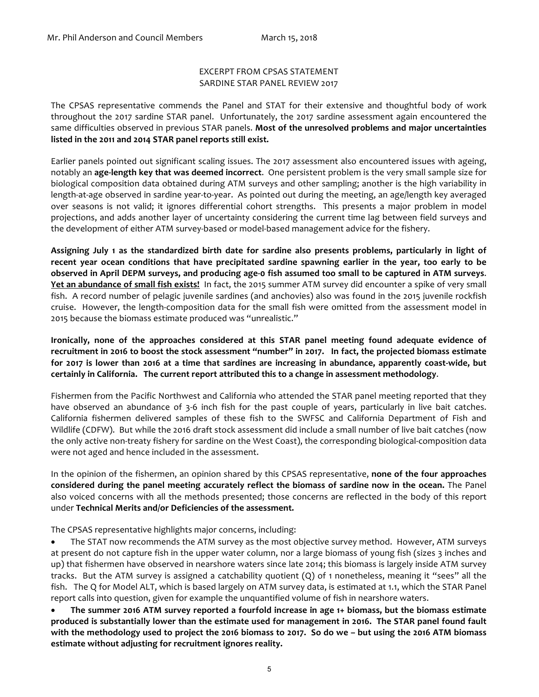## EXCERPT FROM CPSAS STATEMENT SARDINE STAR PANEL REVIEW 2017

The CPSAS representative commends the Panel and STAT for their extensive and thoughtful body of work throughout the 2017 sardine STAR panel. Unfortunately, the 2017 sardine assessment again encountered the same difficulties observed in previous STAR panels. **Most of the unresolved problems and major uncertainties listed in the 2011 and 2014 STAR panel reports still exist.**

Earlier panels pointed out significant scaling issues. The 2017 assessment also encountered issues with ageing, notably an **age-length key that was deemed incorrect**. One persistent problem is the very small sample size for biological composition data obtained during ATM surveys and other sampling; another is the high variability in length-at-age observed in sardine year-to-year. As pointed out during the meeting, an age/length key averaged over seasons is not valid; it ignores differential cohort strengths. This presents a major problem in model projections, and adds another layer of uncertainty considering the current time lag between field surveys and the development of either ATM survey-based or model-based management advice for the fishery.

**Assigning July 1 as the standardized birth date for sardine also presents problems, particularly in light of recent year ocean conditions that have precipitated sardine spawning earlier in the year, too early to be observed in April DEPM surveys, and producing age-0 fish assumed too small to be captured in ATM surveys**. **Yet an abundance of small fish exists!** In fact, the 2015 summer ATM survey did encounter a spike of very small fish. A record number of pelagic juvenile sardines (and anchovies) also was found in the 2015 juvenile rockfish cruise. However, the length-composition data for the small fish were omitted from the assessment model in 2015 because the biomass estimate produced was "unrealistic."

**Ironically, none of the approaches considered at this STAR panel meeting found adequate evidence of recruitment in 2016 to boost the stock assessment "number" in 2017. In fact, the projected biomass estimate for 2017 is lower than 2016 at a time that sardines are increasing in abundance, apparently coast-wide, but certainly in California. The current report attributed this to a change in assessment methodology**.

Fishermen from the Pacific Northwest and California who attended the STAR panel meeting reported that they have observed an abundance of 3-6 inch fish for the past couple of years, particularly in live bait catches. California fishermen delivered samples of these fish to the SWFSC and California Department of Fish and Wildlife (CDFW). But while the 2016 draft stock assessment did include a small number of live bait catches (now the only active non-treaty fishery for sardine on the West Coast), the corresponding biological-composition data were not aged and hence included in the assessment.

In the opinion of the fishermen, an opinion shared by this CPSAS representative, **none of the four approaches considered during the panel meeting accurately reflect the biomass of sardine now in the ocean.** The Panel also voiced concerns with all the methods presented; those concerns are reflected in the body of this report under **Technical Merits and/or Deficiencies of the assessment.**

The CPSAS representative highlights major concerns, including:

• The STAT now recommends the ATM survey as the most objective survey method. However, ATM surveys at present do not capture fish in the upper water column, nor a large biomass of young fish (sizes 3 inches and up) that fishermen have observed in nearshore waters since late 2014; this biomass is largely inside ATM survey tracks. But the ATM survey is assigned a catchability quotient (Q) of 1 nonetheless, meaning it "sees" all the fish. The Q for Model ALT, which is based largely on ATM survey data, is estimated at 1.1, which the STAR Panel report calls into question, given for example the unquantified volume of fish in nearshore waters.

• **The summer 2016 ATM survey reported a fourfold increase in age 1+ biomass, but the biomass estimate produced is substantially lower than the estimate used for management in 2016. The STAR panel found fault with the methodology used to project the 2016 biomass to 2017. So do we – but using the 2016 ATM biomass estimate without adjusting for recruitment ignores reality.**